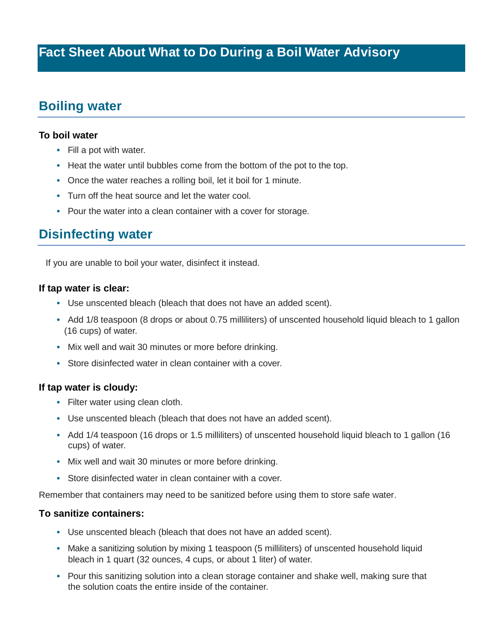# **Boiling water**

### **To boil water**

- Fill a pot with water.
- Heat the water until bubbles come from the bottom of the pot to the top.
- Once the water reaches a rolling boil, let it boil for 1 minute.
- Turn off the heat source and let the water cool.
- Pour the water into a clean container with a cover for storage.

# **Disinfecting water**

If you are unable to boil your water, disinfect it instead.

#### **If tap water is clear:**

- Use unscented bleach (bleach that does not have an added scent).
- Add 1/8 teaspoon (8 drops or about 0.75 milliliters) of unscented household liquid bleach to 1 gallon (16 cups) of water.
- Mix well and wait 30 minutes or more before drinking.
- Store disinfected water in clean container with a cover.

### **If tap water is cloudy:**

- Filter water using clean cloth.
- Use unscented bleach (bleach that does not have an added scent).
- Add 1/4 teaspoon (16 drops or 1.5 milliliters) of unscented household liquid bleach to 1 gallon (16 cups) of water.
- Mix well and wait 30 minutes or more before drinking.
- Store disinfected water in clean container with a cover.

Remember that containers may need to be sanitized before using them to store safe water.

### **To sanitize containers:**

- Use unscented bleach (bleach that does not have an added scent).
- Make a sanitizing solution by mixing 1 teaspoon (5 milliliters) of unscented household liquid bleach in 1 quart (32 ounces, 4 cups, or about 1 liter) of water.
- Pour this sanitizing solution into a clean storage container and shake well, making sure that the solution coats the entire inside of the container.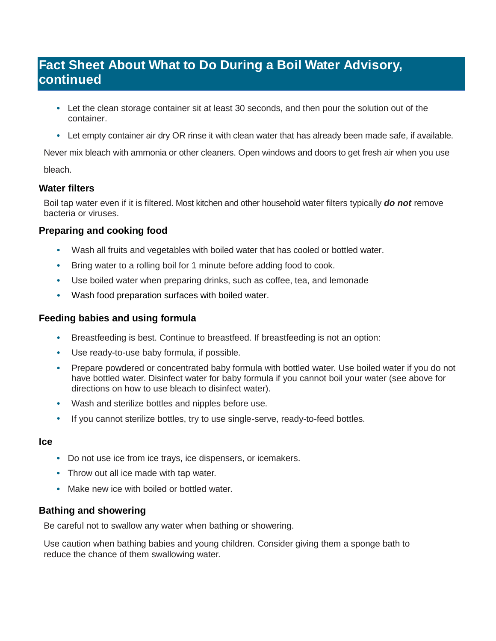## **Fact Sheet About What to Do During a Boil Water Advisory, continued**

- Let the clean storage container sit at least 30 seconds, and then pour the solution out of the container.
- Let empty container air dry OR rinse it with clean water that has already been made safe, if available.

Never mix bleach with ammonia or other cleaners. Open windows and doors to get fresh air when you use bleach.

## **Water filters**

Boil tap water even if it is filtered. Most kitchen and other household water filters typically *do not* remove bacteria or viruses.

## **Preparing and cooking food**

- Wash all fruits and vegetables with boiled water that has cooled or bottled water.
- Bring water to a rolling boil for 1 minute before adding food to cook.
- Use boiled water when preparing drinks, such as coffee, tea, and lemonade
- Wash food preparation surfaces with boiled water.

## **Feeding babies and using formula**

- Breastfeeding is best. Continue to breastfeed. If breastfeeding is not an option:
- Use ready-to-use baby formula, if possible.
- Prepare powdered or concentrated baby formula with bottled water. Use boiled water if you do not have bottled water. Disinfect water for baby formula if you cannot boil your water (see above for directions on how to use bleach to disinfect water).
- Wash and sterilize bottles and nipples before use.
- If you cannot sterilize bottles, try to use single-serve, ready-to-feed bottles.

### **Ice**

- Do not use ice from ice trays, ice dispensers, or icemakers.
- Throw out all ice made with tap water.
- Make new ice with boiled or bottled water.

## **Bathing and showering**

Be careful not to swallow any water when bathing or showering.

Use caution when bathing babies and young children. Consider giving them a sponge bath to reduce the chance of them swallowing water.